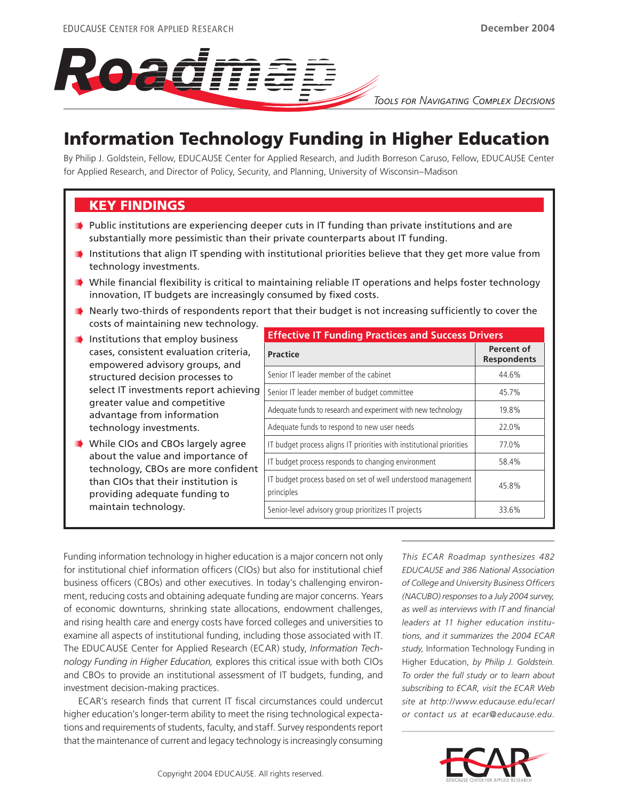

*TOOLS FOR NAVIGATING COMPLEX DECISIONS*

# Information Technology Funding in Higher Education

By Philip J. Goldstein, Fellow, EDUCAUSE Center for Applied Research, and Judith Borreson Caruso, Fellow, EDUCAUSE Center for Applied Research, and Director of Policy, Security, and Planning, University of Wisconsin–Madison

# KEY FINDINGS

- $\blacksquare$  Public institutions are experiencing deeper cuts in IT funding than private institutions and are substantially more pessimistic than their private counterparts about IT funding.
- **ID** Institutions that align IT spending with institutional priorities believe that they get more value from technology investments.
- **ID** While financial flexibility is critical to maintaining reliable IT operations and helps foster technology innovation, IT budgets are increasingly consumed by fixed costs.
- $\blacksquare$  Nearly two-thirds of respondents report that their budget is not increasing sufficiently to cover the costs of maintaining new technology.
- **ID** Institutions that employ business cases, consistent evaluation criteria, empowered advisory groups, and structured decision processes to select IT investments report achieving greater value and competitive advantage from information technology investments.
- **While CIOs and CBOs largely agree** about the value and importance of technology, CBOs are more confident than CIOs that their institution is providing adequate funding to maintain technology.

| <b>Effective IT Funding Practices and Success Drivers</b>                  |                                  |
|----------------------------------------------------------------------------|----------------------------------|
| <b>Practice</b>                                                            | Percent of<br><b>Respondents</b> |
| Senior IT leader member of the cabinet                                     | 44.6%                            |
| Senior IT leader member of budget committee                                | 45.7%                            |
| Adequate funds to research and experiment with new technology              | 19.8%                            |
| Adequate funds to respond to new user needs                                | 22.0%                            |
| IT budget process aligns IT priorities with institutional priorities       | 77.0%                            |
| IT budget process responds to changing environment                         | 58.4%                            |
| IT budget process based on set of well understood management<br>principles | 45.8%                            |
| Senior-level advisory group prioritizes IT projects                        | 33.6%                            |

Funding information technology in higher education is a major concern not only for institutional chief information officers (CIOs) but also for institutional chief business officers (CBOs) and other executives. In today's challenging environment, reducing costs and obtaining adequate funding are major concerns. Years of economic downturns, shrinking state allocations, endowment challenges, and rising health care and energy costs have forced colleges and universities to examine all aspects of institutional funding, including those associated with IT. The EDUCAUSE Center for Applied Research (ECAR) study, *Information Technology Funding in Higher Education,* explores this critical issue with both CIOs and CBOs to provide an institutional assessment of IT budgets, funding, and investment decision-making practices.

ECAR's research finds that current IT fiscal circumstances could undercut higher education's longer-term ability to meet the rising technological expectations and requirements of students, faculty, and staff. Survey respondents report that the maintenance of current and legacy technology is increasingly consuming

*This ECAR Roadmap synthesizes 482 EDUCAUSE and 386 National Association of College and University Business Officers (NACUBO) responses to a July 2004 survey, as well as interviews with IT and financial leaders at 11 higher education institutions, and it summarizes the 2004 ECAR study,* Information Technology Funding in Higher Education, *by Philip J. Goldstein. To order the full study or to learn about subscribing to ECAR, visit the ECAR Web site at http://www.educause.edu/ecar/ or contact us at ecar@educause.edu.*

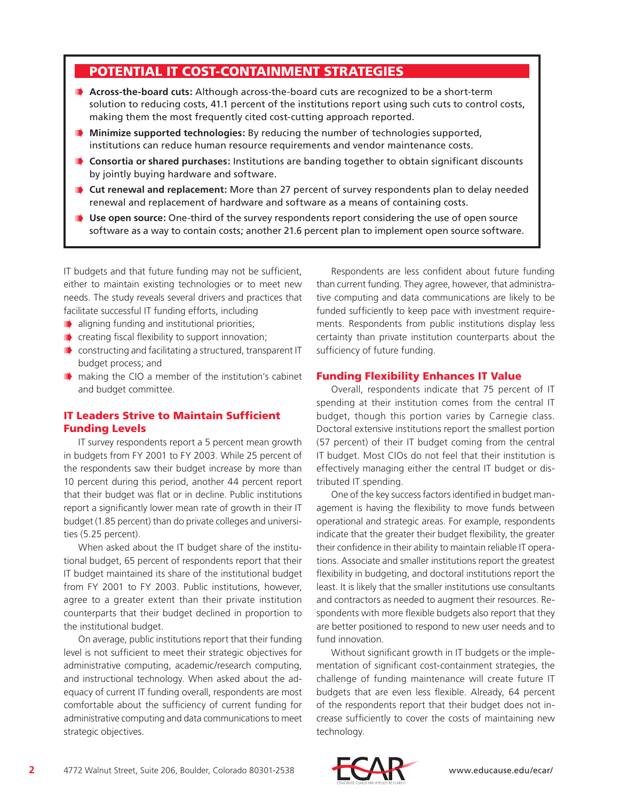# POTENTIAL IT COST-CONTAINMENT STRATEGIES

- **Across-the-board cuts:** Although across-the-board cuts are recognized to be a short-term solution to reducing costs, 41.1 percent of the institutions report using such cuts to control costs, making them the most frequently cited cost-cutting approach reported.
- **Minimize supported technologies:** By reducing the number of technologies supported, institutions can reduce human resource requirements and vendor maintenance costs.
- **D** Consortia or shared purchases: Institutions are banding together to obtain significant discounts by jointly buying hardware and software.
- **I** Cut renewal and replacement: More than 27 percent of survey respondents plan to delay needed renewal and replacement of hardware and software as a means of containing costs.
- **Use open source:** One-third of the survey respondents report considering the use of open source software as a way to contain costs; another 21.6 percent plan to implement open source software.

IT budgets and that future funding may not be sufficient, either to maintain existing technologies or to meet new needs. The study reveals several drivers and practices that facilitate successful IT funding efforts, including

- **I** aligning funding and institutional priorities;
- $\blacksquare$  creating fiscal flexibility to support innovation;
- **ID** constructing and facilitating a structured, transparent IT budget process; and
- **I** making the CIO a member of the institution's cabinet and budget committee.

### IT Leaders Strive to Maintain Sufficient Funding Levels

IT survey respondents report a 5 percent mean growth in budgets from FY 2001 to FY 2003. While 25 percent of the respondents saw their budget increase by more than 10 percent during this period, another 44 percent report that their budget was flat or in decline. Public institutions report a significantly lower mean rate of growth in their IT budget (1.85 percent) than do private colleges and universities (5.25 percent).

When asked about the IT budget share of the institutional budget, 65 percent of respondents report that their IT budget maintained its share of the institutional budget from FY 2001 to FY 2003. Public institutions, however, agree to a greater extent than their private institution counterparts that their budget declined in proportion to the institutional budget.

On average, public institutions report that their funding level is not sufficient to meet their strategic objectives for administrative computing, academic/research computing, and instructional technology. When asked about the adequacy of current IT funding overall, respondents are most comfortable about the sufficiency of current funding for administrative computing and data communications to meet strategic objectives.

Respondents are less confident about future funding than current funding. They agree, however, that administrative computing and data communications are likely to be funded sufficiently to keep pace with investment requirements. Respondents from public institutions display less certainty than private institution counterparts about the sufficiency of future funding.

#### Funding Flexibility Enhances IT Value

Overall, respondents indicate that 75 percent of IT spending at their institution comes from the central IT budget, though this portion varies by Carnegie class. Doctoral extensive institutions report the smallest portion (57 percent) of their IT budget coming from the central IT budget. Most CIOs do not feel that their institution is effectively managing either the central IT budget or distributed IT spending.

One of the key success factors identified in budget management is having the flexibility to move funds between operational and strategic areas. For example, respondents indicate that the greater their budget flexibility, the greater their confidence in their ability to maintain reliable IT operations. Associate and smaller institutions report the greatest flexibility in budgeting, and doctoral institutions report the least. It is likely that the smaller institutions use consultants and contractors as needed to augment their resources. Respondents with more flexible budgets also report that they are better positioned to respond to new user needs and to fund innovation.

Without significant growth in IT budgets or the implementation of significant cost-containment strategies, the challenge of funding maintenance will create future IT budgets that are even less flexible. Already, 64 percent of the respondents report that their budget does not increase sufficiently to cover the costs of maintaining new technology.

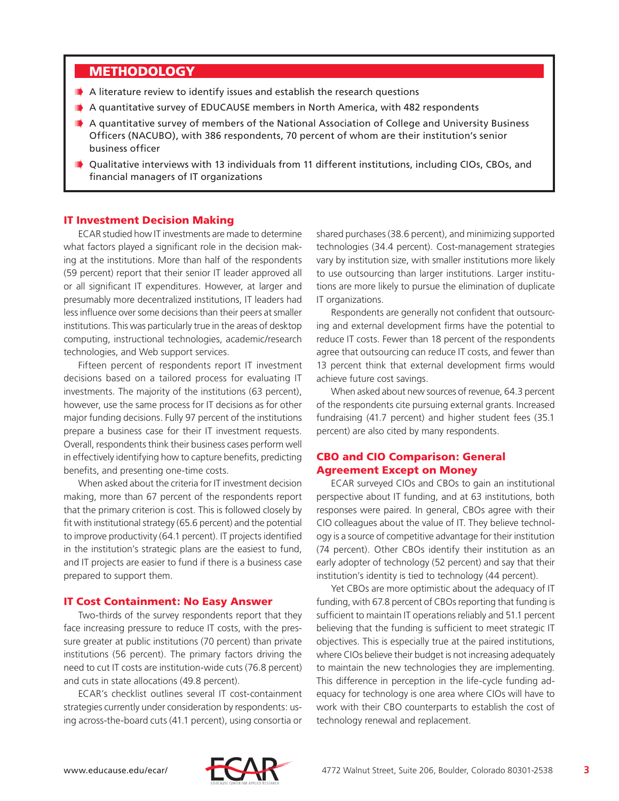### **METHODOLOGY**

- A literature review to identify issues and establish the research questions
- A quantitative survey of EDUCAUSE members in North America, with 482 respondents
- **A quantitative survey of members of the National Association of College and University Business** Officers (NACUBO), with 386 respondents, 70 percent of whom are their institution's senior business officer
- Qualitative interviews with 13 individuals from 11 different institutions, including CIOs, CBOs, and financial managers of IT organizations

#### IT Investment Decision Making

ECAR studied how IT investments are made to determine what factors played a significant role in the decision making at the institutions. More than half of the respondents (59 percent) report that their senior IT leader approved all or all significant IT expenditures. However, at larger and presumably more decentralized institutions, IT leaders had less influence over some decisions than their peers at smaller institutions. This was particularly true in the areas of desktop computing, instructional technologies, academic/research technologies, and Web support services.

Fifteen percent of respondents report IT investment decisions based on a tailored process for evaluating IT investments. The majority of the institutions (63 percent), however, use the same process for IT decisions as for other major funding decisions. Fully 97 percent of the institutions prepare a business case for their IT investment requests. Overall, respondents think their business cases perform well in effectively identifying how to capture benefits, predicting benefits, and presenting one-time costs.

When asked about the criteria for IT investment decision making, more than 67 percent of the respondents report that the primary criterion is cost. This is followed closely by fit with institutional strategy (65.6 percent) and the potential to improve productivity (64.1 percent). IT projects identified in the institution's strategic plans are the easiest to fund, and IT projects are easier to fund if there is a business case prepared to support them.

#### IT Cost Containment: No Easy Answer

Two-thirds of the survey respondents report that they face increasing pressure to reduce IT costs, with the pressure greater at public institutions (70 percent) than private institutions (56 percent). The primary factors driving the need to cut IT costs are institution-wide cuts (76.8 percent) and cuts in state allocations (49.8 percent).

ECAR's checklist outlines several IT cost-containment strategies currently under consideration by respondents: using across-the-board cuts (41.1 percent), using consortia or shared purchases (38.6 percent), and minimizing supported technologies (34.4 percent). Cost-management strategies vary by institution size, with smaller institutions more likely to use outsourcing than larger institutions. Larger institutions are more likely to pursue the elimination of duplicate IT organizations.

Respondents are generally not confident that outsourcing and external development firms have the potential to reduce IT costs. Fewer than 18 percent of the respondents agree that outsourcing can reduce IT costs, and fewer than 13 percent think that external development firms would achieve future cost savings.

When asked about new sources of revenue, 64.3 percent of the respondents cite pursuing external grants. Increased fundraising (41.7 percent) and higher student fees (35.1 percent) are also cited by many respondents.

### CBO and CIO Comparison: General Agreement Except on Money

ECAR surveyed CIOs and CBOs to gain an institutional perspective about IT funding, and at 63 institutions, both responses were paired. In general, CBOs agree with their CIO colleagues about the value of IT. They believe technology is a source of competitive advantage for their institution (74 percent). Other CBOs identify their institution as an early adopter of technology (52 percent) and say that their institution's identity is tied to technology (44 percent).

Yet CBOs are more optimistic about the adequacy of IT funding, with 67.8 percent of CBOs reporting that funding is sufficient to maintain IT operations reliably and 51.1 percent believing that the funding is sufficient to meet strategic IT objectives. This is especially true at the paired institutions, where CIOs believe their budget is not increasing adequately to maintain the new technologies they are implementing. This difference in perception in the life-cycle funding adequacy for technology is one area where CIOs will have to work with their CBO counterparts to establish the cost of technology renewal and replacement.